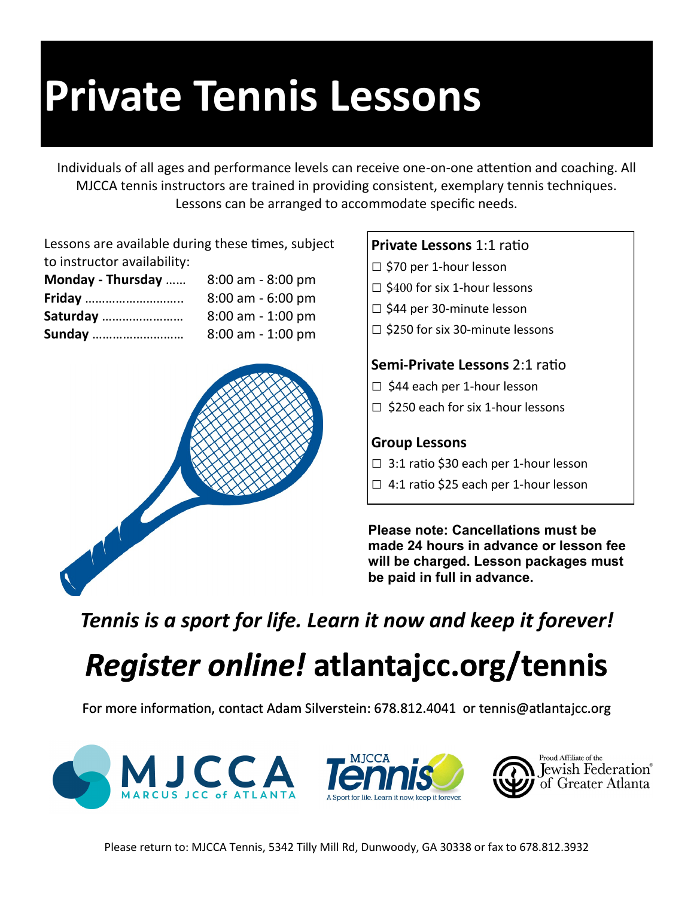# **Private Tennis Lessons**

Individuals of all ages and performance levels can receive one-on-one attention and coaching. All MJCCA tennis instructors are trained in providing consistent, exemplary tennis techniques. Lessons can be arranged to accommodate specific needs.

Lessons are available during these times, subject to instructor availability:

| Monday - Thursday | $8:00$ am - $8:00$ pm |
|-------------------|-----------------------|
| <b>Friday</b>     | $8:00$ am - 6:00 pm   |
| Saturday          | $8:00$ am - 1:00 pm   |
| <b>Sunday</b>     | $8:00$ am - 1:00 pm   |



### **Private Lessons** 1:1 ratio

- □ \$70 per 1-hour lesson
- $\square$  \$400 for six 1-hour lessons
- □ \$44 per 30-minute lesson
- □ \$250 for six 30-minute lessons

#### **Semi-Private Lessons** 2:1 ratio

- □ \$44 each per 1-hour lesson
- $\Box$  \$250 each for six 1-hour lessons

#### **Group Lessons**

- $\Box$  3:1 ratio \$30 each per 1-hour lesson
- □ 4:1 ratio \$25 each per 1-hour lesson

**Please note: Cancellations must be made 24 hours in advance or lesson fee will be charged. Lesson packages must be paid in full in advance.**

*Tennis is a sport for life. Learn it now and keep it forever!*

## *Register online!* **atlantajcc.org/tennis**

For more information, contact Adam Silverstein: 678.812.4041 or tennis@atlantajcc.org